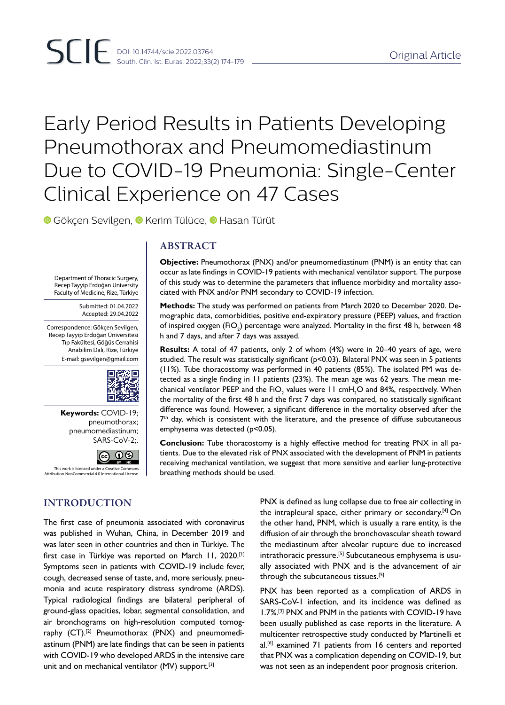# Early Period Results in Patients Developing Pneumothorax and Pneumomediastinum Due to COVID-19 Pneumonia: Single-Center Clinical Experience on 47 Cases

ciated with PNX and/or PNM secondary to COVID-19 infection.

h and 7 days, and after 7 days was assayed.

emphysema was detected (p<0.05).

breathing methods should be used.

**Objective:** Pneumothorax (PNX) and/or pneumomediastinum (PNM) is an entity that can occur as late findings in COVID-19 patients with mechanical ventilator support. The purpose of this study was to determine the parameters that influence morbidity and mortality asso-

**Methods:** The study was performed on patients from March 2020 to December 2020. Demographic data, comorbidities, positive end-expiratory pressure (PEEP) values, and fraction of inspired oxygen (FiO<sub>2</sub>) percentage were analyzed. Mortality in the first 48 h, between 48

**Results:** A total of 47 patients, only 2 of whom (4%) were in 20–40 years of age, were studied. The result was statistically significant (p<0.03). Bilateral PNX was seen in 5 patients (11%). Tube thoracostomy was performed in 40 patients (85%). The isolated PM was detected as a single finding in 11 patients (23%). The mean age was 62 years. The mean mechanical ventilator PEEP and the FiO<sub>2</sub> values were 11 cmH<sub>2</sub>O and 84%, respectively. When the mortality of the first 48 h and the first 7 days was compared, no statistically significant difference was found. However, a significant difference in the mortality observed after the  $7<sup>th</sup>$  day, which is consistent with the literature, and the presence of diffuse subcutaneous

**Conclusion:** Tube thoracostomy is a highly effective method for treating PNX in all patients. Due to the elevated risk of PNX associated with the development of PNM in patients receiving mechanical ventilation, we suggest that more sensitive and earlier lung-protective

**GökçenSevilgen, © Kerim Tülüce, © Hasan Türüt** 

## ABSTRACT

Department of Thoracic Surgery, Recep Tayyip Erdoğan University Faculty of Medicine, Rize, Türkiye

> Submitted: 01.04.2022 Accepted: 29.04.2022

Correspondence: Gökçen Sevilgen, Recep Tayyip Erdoğan Üniversitesi Tıp Fakültesi, Göğüs Cerrahisi Anabilim Dalı, Rize, Türkiye E-mail: gsevilgen@gmail.com



**Keywords:** COVID-19; pneumothorax; pneumomediastinum; SARS-CoV-2;.



air bronchograms on high-resolution computed tomography (CT).<sup>[2]</sup> Pneumothorax (PNX) and pneumomediastinum (PNM) are late findings that can be seen in patients with COVID-19 who developed ARDS in the intensive care

unit and on mechanical ventilator (MV) support.<sup>[3]</sup>

Attribution-NonCommercial 4.0 International License.

# INTRODUCTION

PNX is defined as lung collapse due to free air collecting in the intrapleural space, either primary or secondary.<sup>[4]</sup> On the other hand, PNM, which is usually a rare entity, is the diffusion of air through the bronchovascular sheath toward the mediastinum after alveolar rupture due to increased intrathoracic pressure.<sup>[5]</sup> Subcutaneous emphysema is usually associated with PNX and is the advancement of air through the subcutaneous tissues.<sup>[5]</sup>

SARS-CoV-1 infection, and its incidence was defined as 1.7%.[3] PNX and PNM in the patients with COVID-19 have been usually published as case reports in the literature. A multicenter retrospective study conducted by Martinelli et al.<sup>[6]</sup> examined 71 patients from 16 centers and reported that PNX was a complication depending on COVID-19, but was not seen as an independent poor prognosis criterion.

The first case of pneumonia associated with coronavirus was published in Wuhan, China, in December 2019 and was later seen in other countries and then in Türkiye. The first case in Türkiye was reported on March 11, 2020.<sup>[1]</sup> Symptoms seen in patients with COVID-19 include fever, cough, decreased sense of taste, and, more seriously, pneumonia and acute respiratory distress syndrome (ARDS). Typical radiological findings are bilateral peripheral of ground-glass opacities, lobar, segmental consolidation, and PNX has been reported as a complication of ARDS in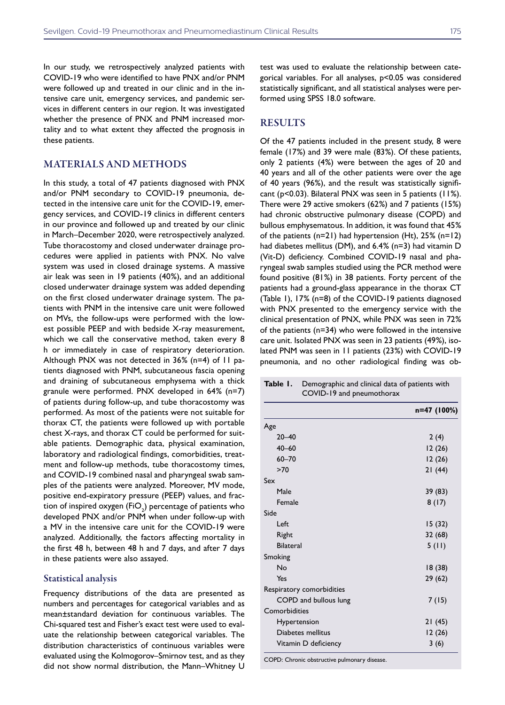In our study, we retrospectively analyzed patients with COVID-19 who were identified to have PNX and/or PNM were followed up and treated in our clinic and in the intensive care unit, emergency services, and pandemic services in different centers in our region. It was investigated whether the presence of PNX and PNM increased mortality and to what extent they affected the prognosis in these patients.

## MATERIALS AND METHODS

In this study, a total of 47 patients diagnosed with PNX and/or PNM secondary to COVID-19 pneumonia, detected in the intensive care unit for the COVID-19, emergency services, and COVID-19 clinics in different centers in our province and followed up and treated by our clinic in March–December 2020, were retrospectively analyzed. Tube thoracostomy and closed underwater drainage procedures were applied in patients with PNX. No valve system was used in closed drainage systems. A massive air leak was seen in 19 patients (40%), and an additional closed underwater drainage system was added depending on the first closed underwater drainage system. The patients with PNM in the intensive care unit were followed on MVs, the follow-ups were performed with the lowest possible PEEP and with bedside X-ray measurement, which we call the conservative method, taken every 8 h or immediately in case of respiratory deterioration. Although PNX was not detected in 36% (n=4) of 11 patients diagnosed with PNM, subcutaneous fascia opening and draining of subcutaneous emphysema with a thick granule were performed. PNX developed in 64% (n=7) of patients during follow-up, and tube thoracostomy was performed. As most of the patients were not suitable for thorax CT, the patients were followed up with portable chest X-rays, and thorax CT could be performed for suitable patients. Demographic data, physical examination, laboratory and radiological findings, comorbidities, treatment and follow-up methods, tube thoracostomy times, and COVID-19 combined nasal and pharyngeal swab samples of the patients were analyzed. Moreover, MV mode, positive end-expiratory pressure (PEEP) values, and fraction of inspired oxygen (FiO $_{\textrm{\tiny{2}}}$ ) percentage of patients who developed PNX and/or PNM when under follow-up with a MV in the intensive care unit for the COVID-19 were analyzed. Additionally, the factors affecting mortality in the first 48 h, between 48 h and 7 days, and after 7 days in these patients were also assayed.

#### Statistical analysis

Frequency distributions of the data are presented as numbers and percentages for categorical variables and as mean±standard deviation for continuous variables. The Chi-squared test and Fisher's exact test were used to evaluate the relationship between categorical variables. The distribution characteristics of continuous variables were evaluated using the Kolmogorov–Smirnov test, and as they did not show normal distribution, the Mann–Whitney U

test was used to evaluate the relationship between categorical variables. For all analyses, p<0.05 was considered statistically significant, and all statistical analyses were performed using SPSS 18.0 software.

### **RESULTS**

Of the 47 patients included in the present study, 8 were female (17%) and 39 were male (83%). Of these patients, only 2 patients (4%) were between the ages of 20 and 40 years and all of the other patients were over the age of 40 years (96%), and the result was statistically significant (p<0.03). Bilateral PNX was seen in 5 patients (11%). There were 29 active smokers (62%) and 7 patients (15%) had chronic obstructive pulmonary disease (COPD) and bullous emphysematous. In addition, it was found that 45% of the patients (n=21) had hypertension (Ht), 25% (n=12) had diabetes mellitus (DM), and 6.4% (n=3) had vitamin D (Vit-D) deficiency. Combined COVID-19 nasal and pharyngeal swab samples studied using the PCR method were found positive (81%) in 38 patients. Forty percent of the patients had a ground-glass appearance in the thorax CT (Table 1), 17% (n=8) of the COVID-19 patients diagnosed with PNX presented to the emergency service with the clinical presentation of PNX, while PNX was seen in 72% of the patients (n=34) who were followed in the intensive care unit. Isolated PNX was seen in 23 patients (49%), isolated PNM was seen in 11 patients (23%) with COVID-19 pneumonia, and no other radiological finding was ob-

| Table I.<br>COVID-19 and pneumothorax | Demographic and clinical data of patients with |  |  |  |  |
|---------------------------------------|------------------------------------------------|--|--|--|--|
|                                       | n=47 (100%)                                    |  |  |  |  |
| Age                                   |                                                |  |  |  |  |
| $20 - 40$                             | 2(4)                                           |  |  |  |  |
| $40 - 60$                             | 12(26)                                         |  |  |  |  |
| $60 - 70$                             | 12(26)                                         |  |  |  |  |
| >70                                   | 21(44)                                         |  |  |  |  |
| Sex                                   |                                                |  |  |  |  |
| Male                                  | 39 (83)                                        |  |  |  |  |
| Female                                | 8(17)                                          |  |  |  |  |
| Side                                  |                                                |  |  |  |  |
| Left                                  | 15(32)                                         |  |  |  |  |
| Right                                 | 32(68)                                         |  |  |  |  |
| <b>Bilateral</b>                      | 5(11)                                          |  |  |  |  |
| Smoking                               |                                                |  |  |  |  |
| No                                    | 18(38)                                         |  |  |  |  |
| Yes                                   | 29(62)                                         |  |  |  |  |
| Respiratory comorbidities             |                                                |  |  |  |  |
| COPD and bullous lung                 | 7 (15)                                         |  |  |  |  |
| Comorbidities                         |                                                |  |  |  |  |
| Hypertension                          | 21(45)                                         |  |  |  |  |
| Diabetes mellitus                     | 12(26)                                         |  |  |  |  |
| Vitamin D deficiency                  | 3(6)                                           |  |  |  |  |

COPD: Chronic obstructive pulmonary disease.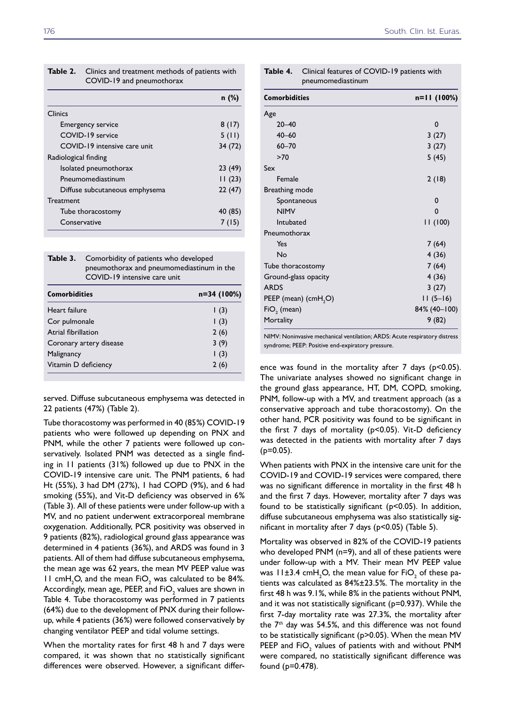| Table 2.             | Clinics and treatment methods of patients with<br>COVID-19 and pneumothorax |         |  |  |  |  |
|----------------------|-----------------------------------------------------------------------------|---------|--|--|--|--|
|                      |                                                                             | $n$ (%) |  |  |  |  |
| Clinics              |                                                                             |         |  |  |  |  |
|                      | <b>Emergency service</b>                                                    | 8(17)   |  |  |  |  |
|                      | COVID-19 service                                                            | 5(11)   |  |  |  |  |
|                      | COVID-19 intensive care unit                                                | 34 (72) |  |  |  |  |
| Radiological finding |                                                                             |         |  |  |  |  |
|                      | Isolated pneumothorax                                                       | 23 (49) |  |  |  |  |
|                      | Pneumomediastinum                                                           | 11(23)  |  |  |  |  |
|                      | Diffuse subcutaneous emphysema                                              | 22(47)  |  |  |  |  |
| Treatment            |                                                                             |         |  |  |  |  |
|                      | Tube thoracostomy                                                           | 40 (85) |  |  |  |  |
| Conservative         |                                                                             | 7 (15)  |  |  |  |  |

| <b>Table 3.</b> Comorbidity of patients who developed |
|-------------------------------------------------------|
| pneumothorax and pneumomediastinum in the             |
| COVID-19 intensive care unit                          |
|                                                       |

| Heart failure                   | n=34 (100%) |  |  |  |
|---------------------------------|-------------|--|--|--|
|                                 | (3)         |  |  |  |
| Cor pulmonale<br>(3)            |             |  |  |  |
| Atrial fibrillation<br>2(6)     |             |  |  |  |
| 3(9)<br>Coronary artery disease |             |  |  |  |
| (3)<br>Malignancy               |             |  |  |  |
| Vitamin D deficiency<br>2(6)    |             |  |  |  |

served. Diffuse subcutaneous emphysema was detected in 22 patients (47%) (Table 2).

Tube thoracostomy was performed in 40 (85%) COVID-19 patients who were followed up depending on PNX and PNM, while the other 7 patients were followed up conservatively. Isolated PNM was detected as a single finding in 11 patients (31%) followed up due to PNX in the COVID-19 intensive care unit. The PNM patients, 6 had Ht (55%), 3 had DM (27%), 1 had COPD (9%), and 6 had smoking (55%), and Vit-D deficiency was observed in 6% (Table 3). All of these patients were under follow-up with a MV, and no patient underwent extracorporeal membrane oxygenation. Additionally, PCR positivity was observed in 9 patients (82%), radiological ground glass appearance was determined in 4 patients (36%), and ARDS was found in 3 patients. All of them had diffuse subcutaneous emphysema, the mean age was 62 years, the mean MV PEEP value was 11 cm $H_2O$ , and the mean  $FiO_2$  was calculated to be 84%. Accordingly, mean age, PEEP, and FiO $_2$  values are shown in Table 4. Tube thoracostomy was performed in 7 patients (64%) due to the development of PNX during their followup, while 4 patients (36%) were followed conservatively by changing ventilator PEEP and tidal volume settings.

When the mortality rates for first 48 h and 7 days were compared, it was shown that no statistically significant differences were observed. However, a significant differ-

| <b>Comorbidities</b>                | $n=11(100%)$ |
|-------------------------------------|--------------|
| Age                                 |              |
| $20 - 40$                           | 0            |
| $40 - 60$                           | 3(27)        |
| $60 - 70$                           | 3(27)        |
| >70                                 | 5(45)        |
| Sex                                 |              |
| Female                              | 2(18)        |
| Breathing mode                      |              |
| Spontaneous                         | $\Omega$     |
| <b>NIMV</b>                         | $\Omega$     |
| Intubated                           | 11(100)      |
| Pneumothorax                        |              |
| Yes                                 | 7(64)        |
| No                                  | 4(36)        |
| Tube thoracostomy                   | 7(64)        |
| Ground-glass opacity                | 4(36)        |
| <b>ARDS</b>                         | 3(27)        |
| PEEP (mean) (cm $H$ <sub>2</sub> O) | $11(5-16)$   |
| $FiO2$ (mean)                       | 84% (40-100) |
| Mortality                           | 9(82)        |

**Table 4.** Clinical features of COVID-19 patients with

pneumomediastinum

NIMV: Noninvasive mechanical ventilation; ARDS: Acute respiratory distress syndrome; PEEP: Positive end-expiratory pressure.

ence was found in the mortality after  $7$  days ( $p$ <0.05). The univariate analyses showed no significant change in the ground glass appearance, HT, DM, COPD, smoking, PNM, follow-up with a MV, and treatment approach (as a conservative approach and tube thoracostomy). On the other hand, PCR positivity was found to be significant in the first 7 days of mortality (p<0.05). Vit-D deficiency was detected in the patients with mortality after 7 days  $(p=0.05)$ .

When patients with PNX in the intensive care unit for the COVID-19 and COVID-19 services were compared, there was no significant difference in mortality in the first 48 h and the first 7 days. However, mortality after 7 days was found to be statistically significant (p<0.05). In addition, diffuse subcutaneous emphysema was also statistically significant in mortality after 7 days (p<0.05) (Table 5).

Mortality was observed in 82% of the COVID-19 patients who developed PNM (n=9), and all of these patients were under follow-up with a MV. Their mean MV PEEP value was 11±3.4 cmH<sub>2</sub>O, the mean value for FiO<sub>2</sub> of these patients was calculated as 84%±23.5%. The mortality in the first 48 h was 9.1%, while 8% in the patients without PNM, and it was not statistically significant (p=0.937). While the first 7-day mortality rate was 27.3%, the mortality after the 7<sup>th</sup> day was 54.5%, and this difference was not found to be statistically significant (p>0.05). When the mean MV PEEP and  $FIO_2$  values of patients with and without PNM were compared, no statistically significant difference was found (p=0.478).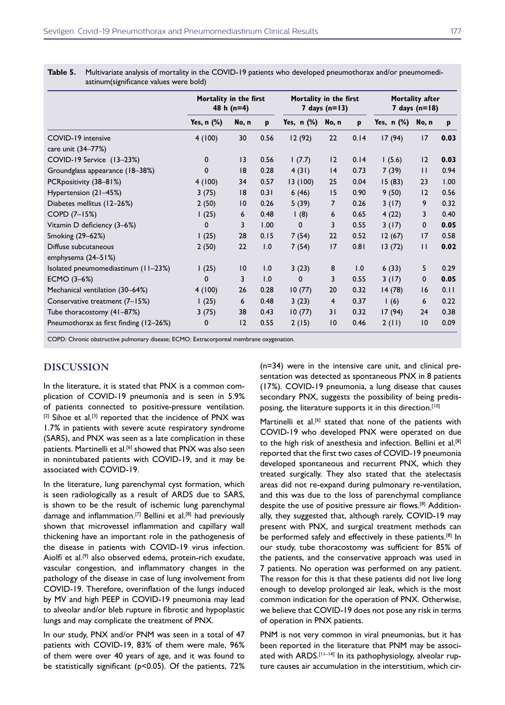|                                        | Mortality in the first<br>48 h $(n=4)$ |       |      | Mortality in the first<br>7 days $(n=13)$ |                 |      | Mortality after<br>7 days $(n=18)$ |                 |      |
|----------------------------------------|----------------------------------------|-------|------|-------------------------------------------|-----------------|------|------------------------------------|-----------------|------|
|                                        | Yes, n (%)                             | No, n | p    | Yes, $n$ $%$                              | No, n           | p    | Yes, n (%)                         | No, n           | p    |
| COVID-19 intensive                     | 4(100)                                 | 30    | 0.56 | 12 (92)                                   | 22              | 0.14 | 17 (94)                            | 17              | 0.03 |
| care unit (34-77%)                     |                                        |       |      |                                           |                 |      |                                    |                 |      |
| COVID-19 Service (13-23%)              | 0                                      | 13    | 0.56 | 1(7.7)                                    | 12              | 0.14 | 1(5.6)                             | 12              | 0.03 |
| Groundglass appearance (18-38%)        | 0                                      | 8     | 0.28 | 4(31)                                     | 4               | 0.73 | 7(39)                              | $\mathbf{H}$    | 0.94 |
| PCRpositivity (38-81%)                 | 4(100)                                 | 34    | 0.57 | 13(100)                                   | 25              | 0.04 | 15(83)                             | 23              | 1.00 |
| Hypertension (21-45%)                  | 3(75)                                  | 8     | 0.31 | 6(46)                                     | 15              | 0.90 | 9(50)                              | 12              | 0.56 |
| Diabetes mellitus (12-26%)             | 2(50)                                  | 10    | 0.26 | 5(39)                                     | 7               | 0.26 | 3(17)                              | 9               | 0.32 |
| COPD (7-15%)                           | 1(25)                                  | 6     | 0.48 | 1(8)                                      | 6               | 0.65 | 4(22)                              | 3               | 0.40 |
| Vitamin D deficiency (3-6%)            | 0                                      | 3     | 1.00 | $\mathbf{0}$                              | 3               | 0.55 | 3(17)                              | $\mathbf 0$     | 0.05 |
| Smoking (29-62%)                       | 1(25)                                  | 28    | 0.15 | 7(54)                                     | 22              | 0.52 | 12(67)                             | 17              | 0.58 |
| Diffuse subcutaneous                   | 2(50)                                  | 22    | 1.0  | 7(54)                                     | 17              | 0.81 | 13(72)                             | $\mathbf{H}$    | 0.02 |
| emphysema (24-51%)                     |                                        |       |      |                                           |                 |      |                                    |                 |      |
| Isolated pneumomediastinum (11-23%)    | 1(25)                                  | 10    | 1.0  | 3(23)                                     | 8               | 1.0  | 6(33)                              | 5               | 0.29 |
| ECMO (3-6%)                            | $\Omega$                               | 3     | 1.0  | 0                                         | 3               | 0.55 | 3(17)                              | $\mathbf 0$     | 0.05 |
| Mechanical ventilation (30–64%)        | 4(100)                                 | 26    | 0.28 | 10(77)                                    | 20              | 0.32 | 14(78)                             | 16              | 0.11 |
| Conservative treatment (7-15%)         | 1(25)                                  | 6     | 0.48 | 3(23)                                     | $\overline{4}$  | 0.37 | 1(6)                               | 6               | 0.22 |
| Tube thoracostomy (41-87%)             | 3(75)                                  | 38    | 0.43 | 10(77)                                    | 31              | 0.32 | 17(94)                             | 24              | 0.38 |
| Pneumothorax as first finding (12-26%) | 0                                      | 12    | 0.55 | 2(15)                                     | $\overline{10}$ | 0.46 | 2(11)                              | $\overline{10}$ | 0.09 |

**Table 5.** Multivariate analysis of mortality in the COVID-19 patients who developed pneumothorax and/or pneumomediastinum(significance values were bold)

COPD: Chronic obstructive pulmonary disease; ECMO: Extracorporeal membrane oxygenation.

## DISCUSSION

In the literature, it is stated that PNX is a common complication of COVID-19 pneumonia and is seen in 5.9% of patients connected to positive-pressure ventilation. [2] Sihoe et al.<sup>[3]</sup> reported that the incidence of PNX was 1.7% in patients with severe acute respiratory syndrome (SARS), and PNX was seen as a late complication in these patients. Martinelli et al.<sup>[6]</sup> showed that PNX was also seen in nonintubated patients with COVID-19, and it may be associated with COVID-19.

In the literature, lung parenchymal cyst formation, which is seen radiologically as a result of ARDS due to SARS, is shown to be the result of ischemic lung parenchymal damage and inflammation.<sup>[7]</sup> Bellini et al.<sup>[8]</sup> had previously shown that microvessel inflammation and capillary wall thickening have an important role in the pathogenesis of the disease in patients with COVID-19 virus infection. Aiolfi et al.[9] also observed edema, protein-rich exudate, vascular congestion, and inflammatory changes in the pathology of the disease in case of lung involvement from COVID-19. Therefore, overinflation of the lungs induced by MV and high PEEP in COVID-19 pneumonia may lead to alveolar and/or bleb rupture in fibrotic and hypoplastic lungs and may complicate the treatment of PNX.

In our study, PNX and/or PNM was seen in a total of 47 patients with COVID-19, 83% of them were male, 96% of them were over 40 years of age, and it was found to be statistically significant (p<0.05). Of the patients, 72%

(n=34) were in the intensive care unit, and clinical presentation was detected as spontaneous PNX in 8 patients (17%). COVID-19 pneumonia, a lung disease that causes secondary PNX, suggests the possibility of being predisposing, the literature supports it in this direction.<sup>[10]</sup>

Martinelli et al.<sup>[6]</sup> stated that none of the patients with COVID-19 who developed PNX were operated on due to the high risk of anesthesia and infection. Bellini et al.[8] reported that the first two cases of COVID-19 pneumonia developed spontaneous and recurrent PNX, which they treated surgically. They also stated that the atelectasis areas did not re-expand during pulmonary re-ventilation, and this was due to the loss of parenchymal compliance despite the use of positive pressure air flows.[8] Additionally, they suggested that, although rarely, COVID-19 may present with PNX, and surgical treatment methods can be performed safely and effectively in these patients.<sup>[8]</sup> In our study, tube thoracostomy was sufficient for 85% of the patients, and the conservative approach was used in 7 patients. No operation was performed on any patient. The reason for this is that these patients did not live long enough to develop prolonged air leak, which is the most common indication for the operation of PNX. Otherwise, we believe that COVID-19 does not pose any risk in terms of operation in PNX patients.

PNM is not very common in viral pneumonias, but it has been reported in the literature that PNM may be associated with ARDS.<sup>[11-14]</sup> In its pathophysiology, alveolar rupture causes air accumulation in the interstitium, which cir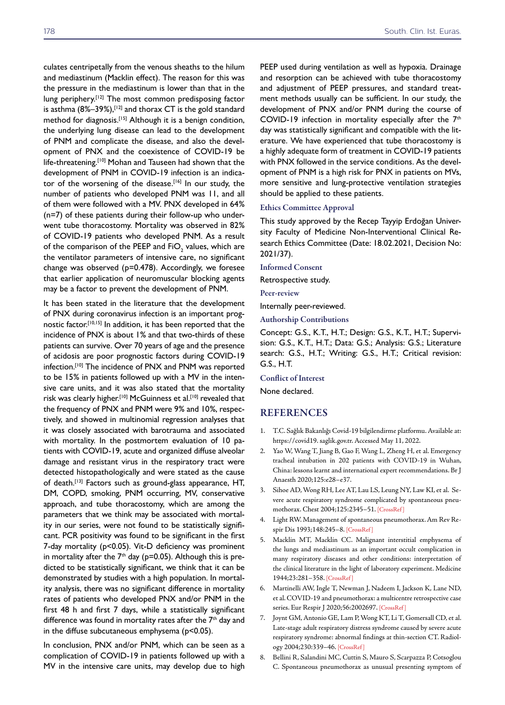culates centripetally from the venous sheaths to the hilum and mediastinum (Macklin effect). The reason for this was the pressure in the mediastinum is lower than that in the lung periphery.<sup>[12]</sup> The most common predisposing factor is asthma (8%-39%),<sup>[12]</sup> and thorax CT is the gold standard method for diagnosis.[15] Although it is a benign condition, the underlying lung disease can lead to the development of PNM and complicate the disease, and also the development of PNX and the coexistence of COVID-19 be life-threatening.<sup>[10]</sup> Mohan and Tauseen had shown that the development of PNM in COVID-19 infection is an indicator of the worsening of the disease.<sup>[16]</sup> In our study, the number of patients who developed PNM was 11, and all of them were followed with a MV. PNX developed in 64% (n=7) of these patients during their follow-up who underwent tube thoracostomy. Mortality was observed in 82% of COVID-19 patients who developed PNM. As a result of the comparison of the PEEP and FiO $_{\textrm{\tiny{2}}}$  values, which are the ventilator parameters of intensive care, no significant change was observed (p=0.478). Accordingly, we foresee that earlier application of neuromuscular blocking agents may be a factor to prevent the development of PNM.

It has been stated in the literature that the development of PNX during coronavirus infection is an important prognostic factor.[10,15] In addition, it has been reported that the incidence of PNX is about 1% and that two-thirds of these patients can survive. Over 70 years of age and the presence of acidosis are poor prognostic factors during COVID-19 infection.[10] The incidence of PNX and PNM was reported to be 15% in patients followed up with a MV in the intensive care units, and it was also stated that the mortality risk was clearly higher.<sup>[10]</sup> McGuinness et al.<sup>[10]</sup> revealed that the frequency of PNX and PNM were 9% and 10%, respectively, and showed in multinomial regression analyses that it was closely associated with barotrauma and associated with mortality. In the postmortem evaluation of 10 patients with COVID-19, acute and organized diffuse alveolar damage and resistant virus in the respiratory tract were detected histopathologically and were stated as the cause of death.[13] Factors such as ground-glass appearance, HT, DM, COPD, smoking, PNM occurring, MV, conservative approach, and tube thoracostomy, which are among the parameters that we think may be associated with mortality in our series, were not found to be statistically significant. PCR positivity was found to be significant in the first 7-day mortality (p<0.05). Vit-D deficiency was prominent in mortality after the  $7<sup>th</sup>$  day (p=0.05). Although this is predicted to be statistically significant, we think that it can be demonstrated by studies with a high population. In mortality analysis, there was no significant difference in mortality rates of patients who developed PNX and/or PNM in the first 48 h and first 7 days, while a statistically significant difference was found in mortality rates after the 7<sup>th</sup> day and in the diffuse subcutaneous emphysema (p<0.05).

In conclusion, PNX and/or PNM, which can be seen as a complication of COVID-19 in patients followed up with a MV in the intensive care units, may develop due to high PEEP used during ventilation as well as hypoxia. Drainage and resorption can be achieved with tube thoracostomy and adjustment of PEEP pressures, and standard treatment methods usually can be sufficient. In our study, the development of PNX and/or PNM during the course of COVID-19 infection in mortality especially after the 7<sup>th</sup> day was statistically significant and compatible with the literature. We have experienced that tube thoracostomy is a highly adequate form of treatment in COVID-19 patients with PNX followed in the service conditions. As the development of PNM is a high risk for PNX in patients on MVs, more sensitive and lung-protective ventilation strategies should be applied to these patients.

#### Ethics Committee Approval

This study approved by the Recep Tayyip Erdoğan University Faculty of Medicine Non-Interventional Clinical Research Ethics Committee (Date: 18.02.2021, Decision No: 2021/37).

Informed Consent

Retrospective study.

Peer-review

Internally peer-reviewed.

Authorship Contributions

Concept: G.S., K.T., H.T.; Design: G.S., K.T., H.T.; Supervision: G.S., K.T., H.T.; Data: G.S.; Analysis: G.S.; Literature search: G.S., H.T.; Writing: G.S., H.T.; Critical revision: G.S., H.T.

#### Conflict of Interest

None declared.

#### REFERENCES

- 1. T.C. Sağlık Bakanlığı Covid-19 bilgilendirme platformu. Available at: https://covid19. saglik.gov.tr. Accessed May 11, 2022.
- 2. Yao W, Wang T, Jiang B, Gao F, Wang L, Zheng H, et al. Emergency tracheal intubation in 202 patients with COVID-19 in Wuhan, China: lessons learnt and international expert recommendations. Br J Anaesth 2020;125:e28–e37.
- 3. Sihoe AD, Wong RH, Lee AT, Lau LS, Leung NY, Law KI, et al. Severe acute respiratory syndrome complicated by spontaneous pneumothorax. Chest 2004;125:2345–51. [\[CrossRef \]](https://doi.org/10.1378/chest.125.6.2345)
- 4. Light RW. Management of spontaneous pneumothorax. Am Rev Respir Dis 1993;148:245–[8. \[CrossRef \]](https://doi.org/10.1164/ajrccm/148.1.245)
- 5. Macklin MT, Macklin CC. Malignant interstitial emphysema of the lungs and mediastinum as an important occult complication in many respiratory diseases and other conditions: interpretation of the clinical literature in the light of laboratory experiment. Medicine 1944;23:281–358. [\[CrossRef \]](https://doi.org/10.1097/00005792-194412000-00001)
- 6. Martinelli AW, Ingle T, Newman J, Nadeem I, Jackson K, Lane ND, et al. COVID-19 and pneumothorax: a multicentre retrospective case series. Eur Respir J 2020;56:2002697[. \[CrossRef \]](https://doi.org/10.1183/13993003.02697-2020)
- 7. Joynt GM, Antonio GE, Lam P, Wong KT, Li T, Gomersall CD, et al. Late-stage adult respiratory distress syndrome caused by severe acute respiratory syndrome: abnormal findings at thin-section CT. Radiology 2004;230:339–[46. \[CrossRef \]](https://doi.org/10.1148/radiol.2303030894)
- 8. Bellini R, Salandini MC, Cuttin S, Mauro S, Scarpazza P, Cotsoglou C. Spontaneous pneumothorax as unusual presenting symptom of